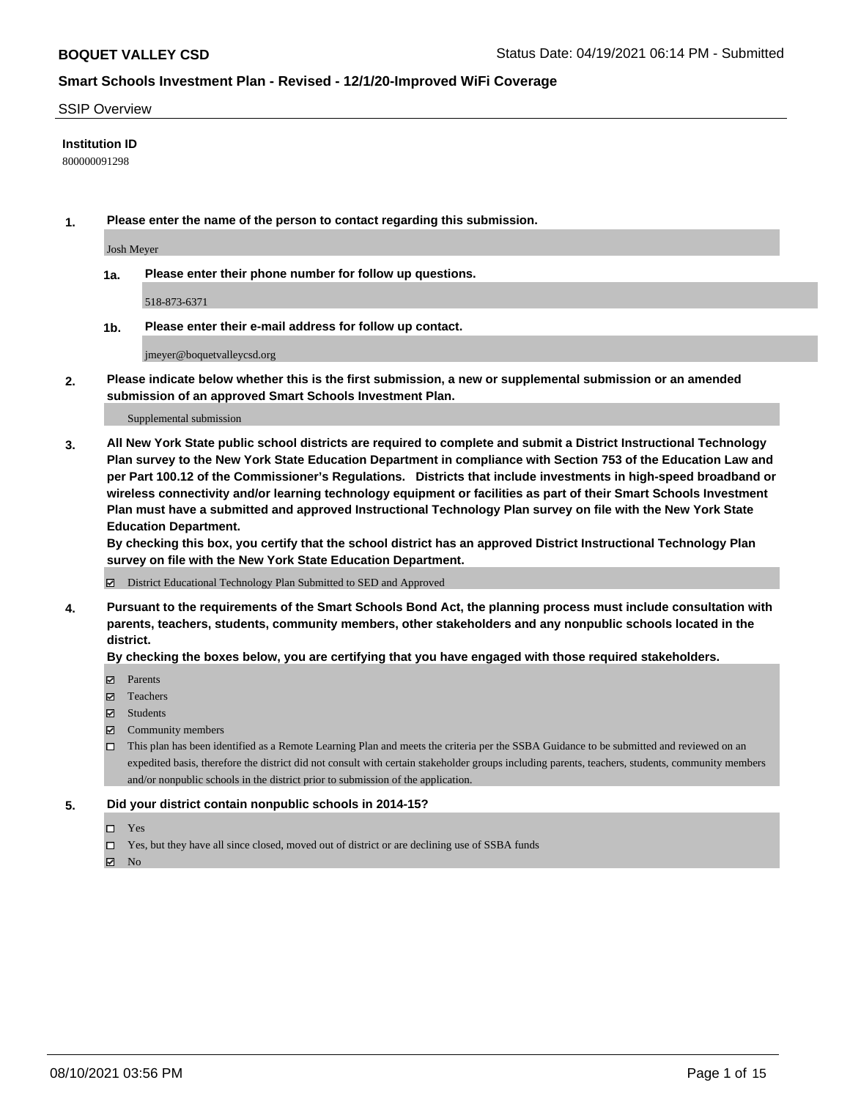#### SSIP Overview

#### **Institution ID**

800000091298

**1. Please enter the name of the person to contact regarding this submission.**

Josh Meyer

**1a. Please enter their phone number for follow up questions.**

518-873-6371

**1b. Please enter their e-mail address for follow up contact.**

jmeyer@boquetvalleycsd.org

**2. Please indicate below whether this is the first submission, a new or supplemental submission or an amended submission of an approved Smart Schools Investment Plan.**

#### Supplemental submission

**3. All New York State public school districts are required to complete and submit a District Instructional Technology Plan survey to the New York State Education Department in compliance with Section 753 of the Education Law and per Part 100.12 of the Commissioner's Regulations. Districts that include investments in high-speed broadband or wireless connectivity and/or learning technology equipment or facilities as part of their Smart Schools Investment Plan must have a submitted and approved Instructional Technology Plan survey on file with the New York State Education Department.** 

**By checking this box, you certify that the school district has an approved District Instructional Technology Plan survey on file with the New York State Education Department.**

District Educational Technology Plan Submitted to SED and Approved

**4. Pursuant to the requirements of the Smart Schools Bond Act, the planning process must include consultation with parents, teachers, students, community members, other stakeholders and any nonpublic schools located in the district.** 

#### **By checking the boxes below, you are certifying that you have engaged with those required stakeholders.**

- **Parents**
- Teachers
- Students
- $\boxtimes$  Community members
- This plan has been identified as a Remote Learning Plan and meets the criteria per the SSBA Guidance to be submitted and reviewed on an expedited basis, therefore the district did not consult with certain stakeholder groups including parents, teachers, students, community members and/or nonpublic schools in the district prior to submission of the application.
- **5. Did your district contain nonpublic schools in 2014-15?**
	- □ Yes
	- □ Yes, but they have all since closed, moved out of district or are declining use of SSBA funds

 $M$  No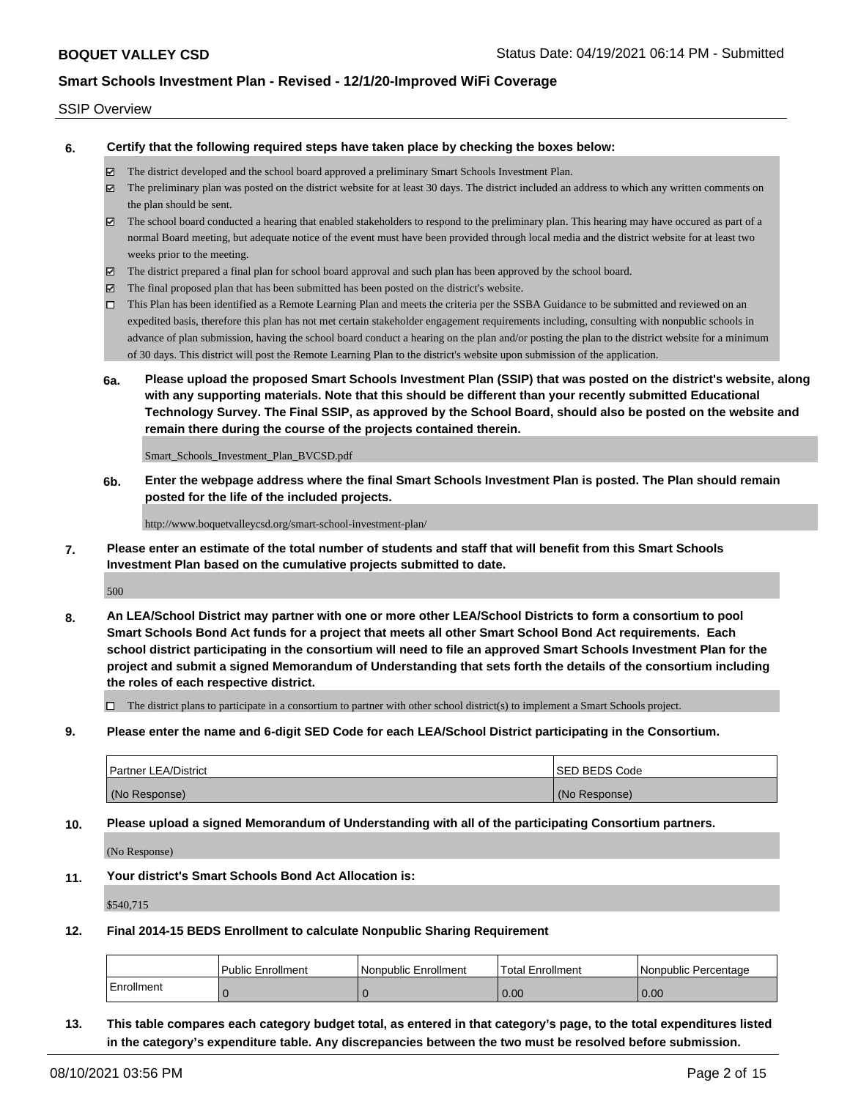#### SSIP Overview

**6. Certify that the following required steps have taken place by checking the boxes below:**

- The district developed and the school board approved a preliminary Smart Schools Investment Plan.
- $\boxtimes$  The preliminary plan was posted on the district website for at least 30 days. The district included an address to which any written comments on the plan should be sent.
- The school board conducted a hearing that enabled stakeholders to respond to the preliminary plan. This hearing may have occured as part of a normal Board meeting, but adequate notice of the event must have been provided through local media and the district website for at least two weeks prior to the meeting.
- The district prepared a final plan for school board approval and such plan has been approved by the school board.
- $\boxtimes$  The final proposed plan that has been submitted has been posted on the district's website.
- This Plan has been identified as a Remote Learning Plan and meets the criteria per the SSBA Guidance to be submitted and reviewed on an expedited basis, therefore this plan has not met certain stakeholder engagement requirements including, consulting with nonpublic schools in advance of plan submission, having the school board conduct a hearing on the plan and/or posting the plan to the district website for a minimum of 30 days. This district will post the Remote Learning Plan to the district's website upon submission of the application.
- **6a. Please upload the proposed Smart Schools Investment Plan (SSIP) that was posted on the district's website, along with any supporting materials. Note that this should be different than your recently submitted Educational Technology Survey. The Final SSIP, as approved by the School Board, should also be posted on the website and remain there during the course of the projects contained therein.**

Smart\_Schools\_Investment\_Plan\_BVCSD.pdf

**6b. Enter the webpage address where the final Smart Schools Investment Plan is posted. The Plan should remain posted for the life of the included projects.**

http://www.boquetvalleycsd.org/smart-school-investment-plan/

**7. Please enter an estimate of the total number of students and staff that will benefit from this Smart Schools Investment Plan based on the cumulative projects submitted to date.**

500

**8. An LEA/School District may partner with one or more other LEA/School Districts to form a consortium to pool Smart Schools Bond Act funds for a project that meets all other Smart School Bond Act requirements. Each school district participating in the consortium will need to file an approved Smart Schools Investment Plan for the project and submit a signed Memorandum of Understanding that sets forth the details of the consortium including the roles of each respective district.**

 $\Box$  The district plans to participate in a consortium to partner with other school district(s) to implement a Smart Schools project.

**9. Please enter the name and 6-digit SED Code for each LEA/School District participating in the Consortium.**

| <b>Partner LEA/District</b> | <b>ISED BEDS Code</b> |
|-----------------------------|-----------------------|
| (No Response)               | (No Response)         |

**10. Please upload a signed Memorandum of Understanding with all of the participating Consortium partners.**

(No Response)

**11. Your district's Smart Schools Bond Act Allocation is:**

\$540,715

**12. Final 2014-15 BEDS Enrollment to calculate Nonpublic Sharing Requirement**

|            | <b>Public Enrollment</b> | l Nonpublic Enrollment | <b>Total Enrollment</b> | l Nonpublic Percentage |
|------------|--------------------------|------------------------|-------------------------|------------------------|
| Enrollment |                          |                        | 0.00                    | 0.00                   |

**13. This table compares each category budget total, as entered in that category's page, to the total expenditures listed in the category's expenditure table. Any discrepancies between the two must be resolved before submission.**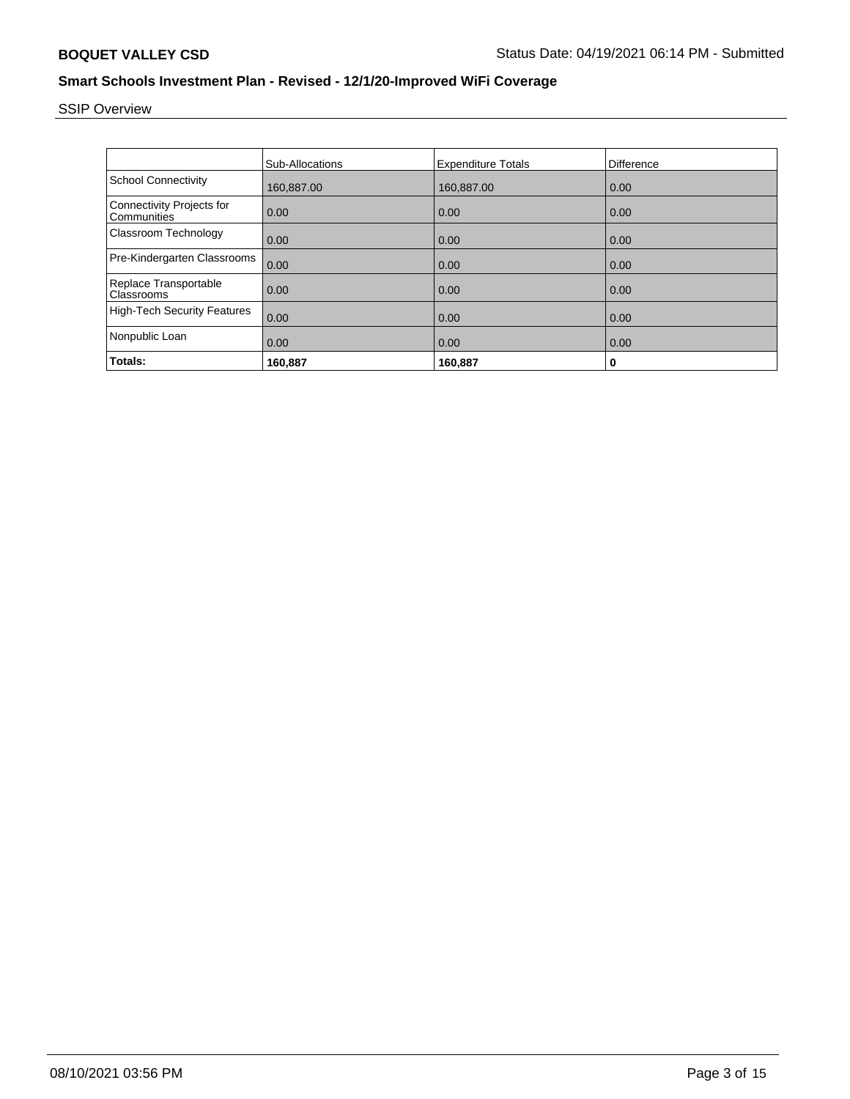# SSIP Overview

|                                                 | <b>Sub-Allocations</b> | <b>Expenditure Totals</b> | Difference |
|-------------------------------------------------|------------------------|---------------------------|------------|
| <b>School Connectivity</b>                      | 160.887.00             | 160,887.00                | 0.00       |
| <b>Connectivity Projects for</b><br>Communities | 0.00                   | 0.00                      | 0.00       |
| Classroom Technology                            | 0.00                   | 0.00                      | 0.00       |
| Pre-Kindergarten Classrooms                     | 0.00                   | 0.00                      | 0.00       |
| Replace Transportable<br>Classrooms             | 0.00                   | 0.00                      | 0.00       |
| <b>High-Tech Security Features</b>              | 0.00                   | 0.00                      | 0.00       |
| Nonpublic Loan                                  | 0.00                   | 0.00                      | 0.00       |
| Totals:                                         | 160.887                | 160,887                   | 0          |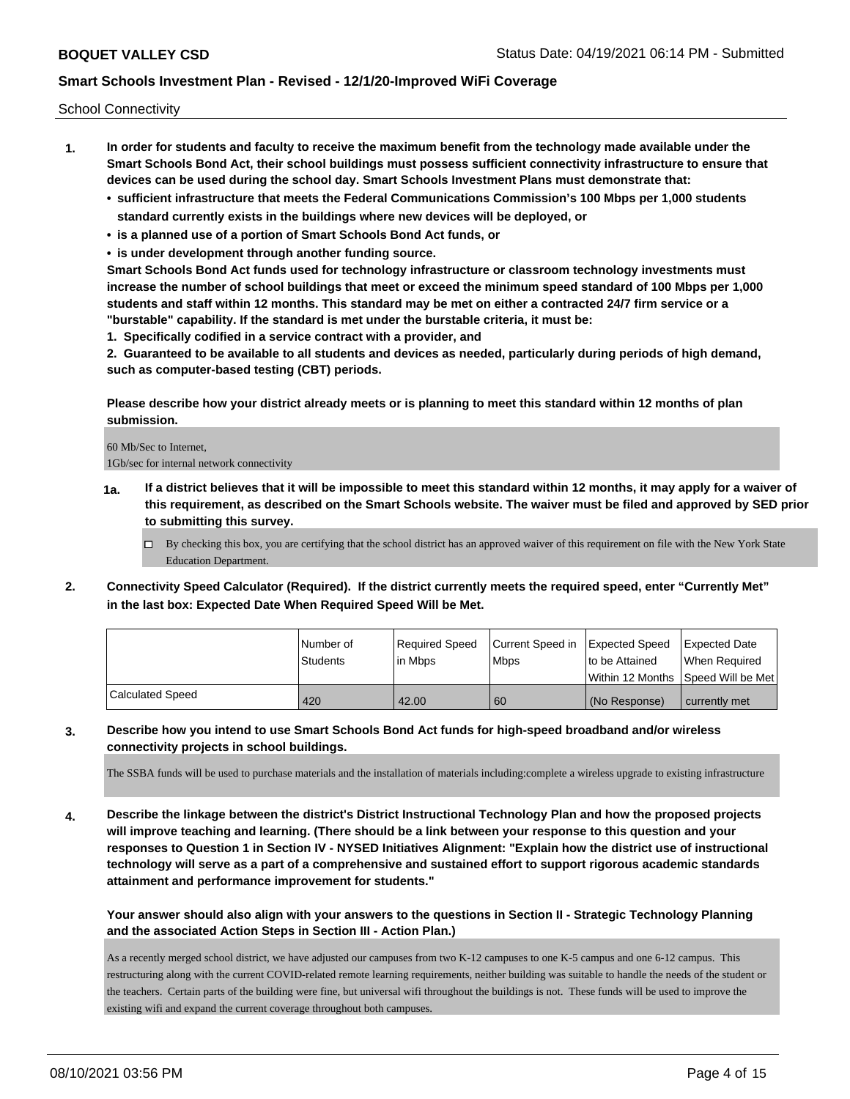School Connectivity

- **1. In order for students and faculty to receive the maximum benefit from the technology made available under the Smart Schools Bond Act, their school buildings must possess sufficient connectivity infrastructure to ensure that devices can be used during the school day. Smart Schools Investment Plans must demonstrate that:**
	- **• sufficient infrastructure that meets the Federal Communications Commission's 100 Mbps per 1,000 students standard currently exists in the buildings where new devices will be deployed, or**
	- **• is a planned use of a portion of Smart Schools Bond Act funds, or**
	- **• is under development through another funding source.**

**Smart Schools Bond Act funds used for technology infrastructure or classroom technology investments must increase the number of school buildings that meet or exceed the minimum speed standard of 100 Mbps per 1,000 students and staff within 12 months. This standard may be met on either a contracted 24/7 firm service or a "burstable" capability. If the standard is met under the burstable criteria, it must be:**

**1. Specifically codified in a service contract with a provider, and**

**2. Guaranteed to be available to all students and devices as needed, particularly during periods of high demand, such as computer-based testing (CBT) periods.**

**Please describe how your district already meets or is planning to meet this standard within 12 months of plan submission.**

60 Mb/Sec to Internet, 1Gb/sec for internal network connectivity

- **1a. If a district believes that it will be impossible to meet this standard within 12 months, it may apply for a waiver of this requirement, as described on the Smart Schools website. The waiver must be filed and approved by SED prior to submitting this survey.**
	- $\Box$  By checking this box, you are certifying that the school district has an approved waiver of this requirement on file with the New York State Education Department.
- **2. Connectivity Speed Calculator (Required). If the district currently meets the required speed, enter "Currently Met" in the last box: Expected Date When Required Speed Will be Met.**

|                  | l Number of     | Reauired Speed | Current Speed in Expected Speed |                | Expected Date                       |
|------------------|-----------------|----------------|---------------------------------|----------------|-------------------------------------|
|                  | <b>Students</b> | l in Mbps      | l Mbps                          | to be Attained | When Required                       |
|                  |                 |                |                                 |                | Within 12 Months  Speed Will be Met |
| Calculated Speed | 420             | 42.00          | 60                              | (No Response)  | currently met                       |

**3. Describe how you intend to use Smart Schools Bond Act funds for high-speed broadband and/or wireless connectivity projects in school buildings.**

The SSBA funds will be used to purchase materials and the installation of materials including:complete a wireless upgrade to existing infrastructure

**4. Describe the linkage between the district's District Instructional Technology Plan and how the proposed projects will improve teaching and learning. (There should be a link between your response to this question and your responses to Question 1 in Section IV - NYSED Initiatives Alignment: "Explain how the district use of instructional technology will serve as a part of a comprehensive and sustained effort to support rigorous academic standards attainment and performance improvement for students."** 

**Your answer should also align with your answers to the questions in Section II - Strategic Technology Planning and the associated Action Steps in Section III - Action Plan.)**

As a recently merged school district, we have adjusted our campuses from two K-12 campuses to one K-5 campus and one 6-12 campus. This restructuring along with the current COVID-related remote learning requirements, neither building was suitable to handle the needs of the student or the teachers. Certain parts of the building were fine, but universal wifi throughout the buildings is not. These funds will be used to improve the existing wifi and expand the current coverage throughout both campuses.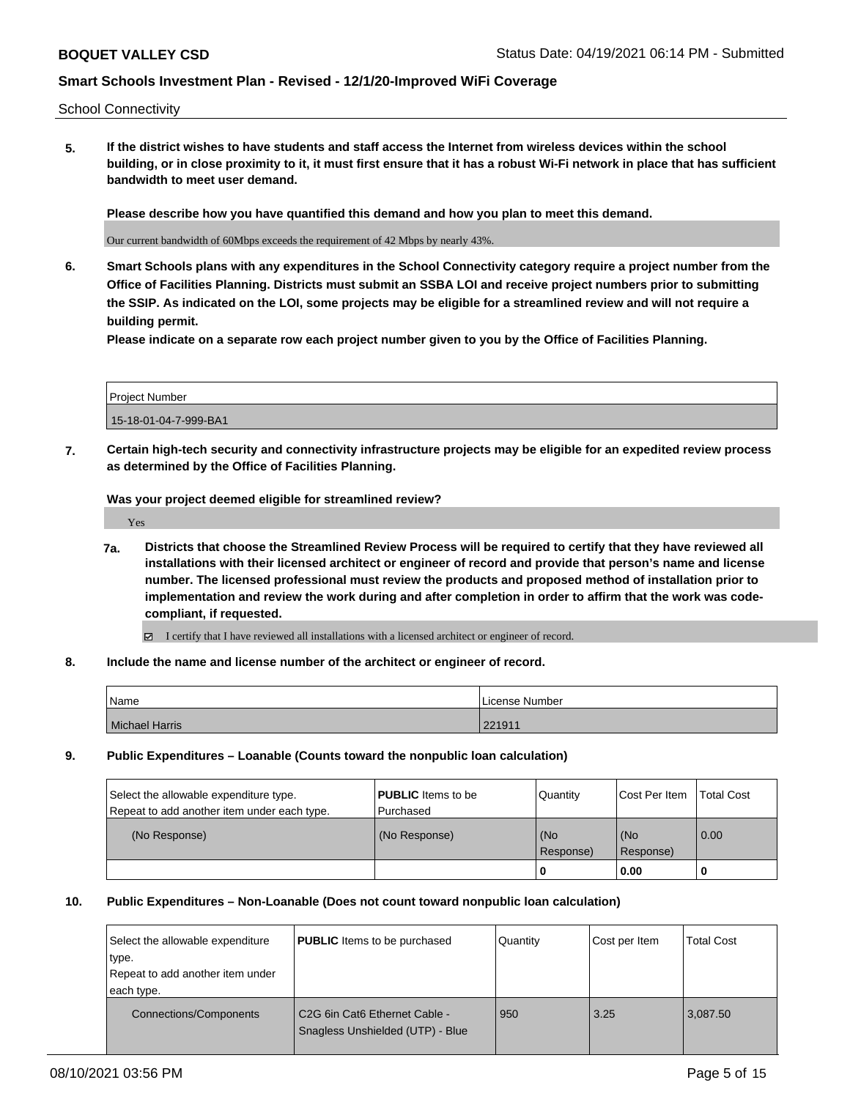School Connectivity

**5. If the district wishes to have students and staff access the Internet from wireless devices within the school building, or in close proximity to it, it must first ensure that it has a robust Wi-Fi network in place that has sufficient bandwidth to meet user demand.**

**Please describe how you have quantified this demand and how you plan to meet this demand.**

Our current bandwidth of 60Mbps exceeds the requirement of 42 Mbps by nearly 43%.

**6. Smart Schools plans with any expenditures in the School Connectivity category require a project number from the Office of Facilities Planning. Districts must submit an SSBA LOI and receive project numbers prior to submitting the SSIP. As indicated on the LOI, some projects may be eligible for a streamlined review and will not require a building permit.**

**Please indicate on a separate row each project number given to you by the Office of Facilities Planning.**

| Project Number        |  |
|-----------------------|--|
| 15-18-01-04-7-999-BA1 |  |

**7. Certain high-tech security and connectivity infrastructure projects may be eligible for an expedited review process as determined by the Office of Facilities Planning.**

**Was your project deemed eligible for streamlined review?**

Yes

- **7a. Districts that choose the Streamlined Review Process will be required to certify that they have reviewed all installations with their licensed architect or engineer of record and provide that person's name and license number. The licensed professional must review the products and proposed method of installation prior to implementation and review the work during and after completion in order to affirm that the work was codecompliant, if requested.**
	- I certify that I have reviewed all installations with a licensed architect or engineer of record.
- **8. Include the name and license number of the architect or engineer of record.**

| Name           | License Number |
|----------------|----------------|
| Michael Harris | 221911         |

**9. Public Expenditures – Loanable (Counts toward the nonpublic loan calculation)**

| Select the allowable expenditure type.      | <b>PUBLIC</b> Items to be | Quantity         | Cost Per Item    | <b>Total Cost</b> |
|---------------------------------------------|---------------------------|------------------|------------------|-------------------|
| Repeat to add another item under each type. | Purchased                 |                  |                  |                   |
| (No Response)                               | (No Response)             | (No<br>Response) | (No<br>Response) | 0.00              |
|                                             |                           |                  | 0.00             |                   |

#### **10. Public Expenditures – Non-Loanable (Does not count toward nonpublic loan calculation)**

| Select the allowable expenditure<br>type.<br>Repeat to add another item under<br>each type. | <b>PUBLIC</b> Items to be purchased                               | Quantity | Cost per Item | <b>Total Cost</b> |
|---------------------------------------------------------------------------------------------|-------------------------------------------------------------------|----------|---------------|-------------------|
| <b>Connections/Components</b>                                                               | C2G 6in Cat6 Ethernet Cable -<br>Snagless Unshielded (UTP) - Blue | 950      | 3.25          | 3.087.50          |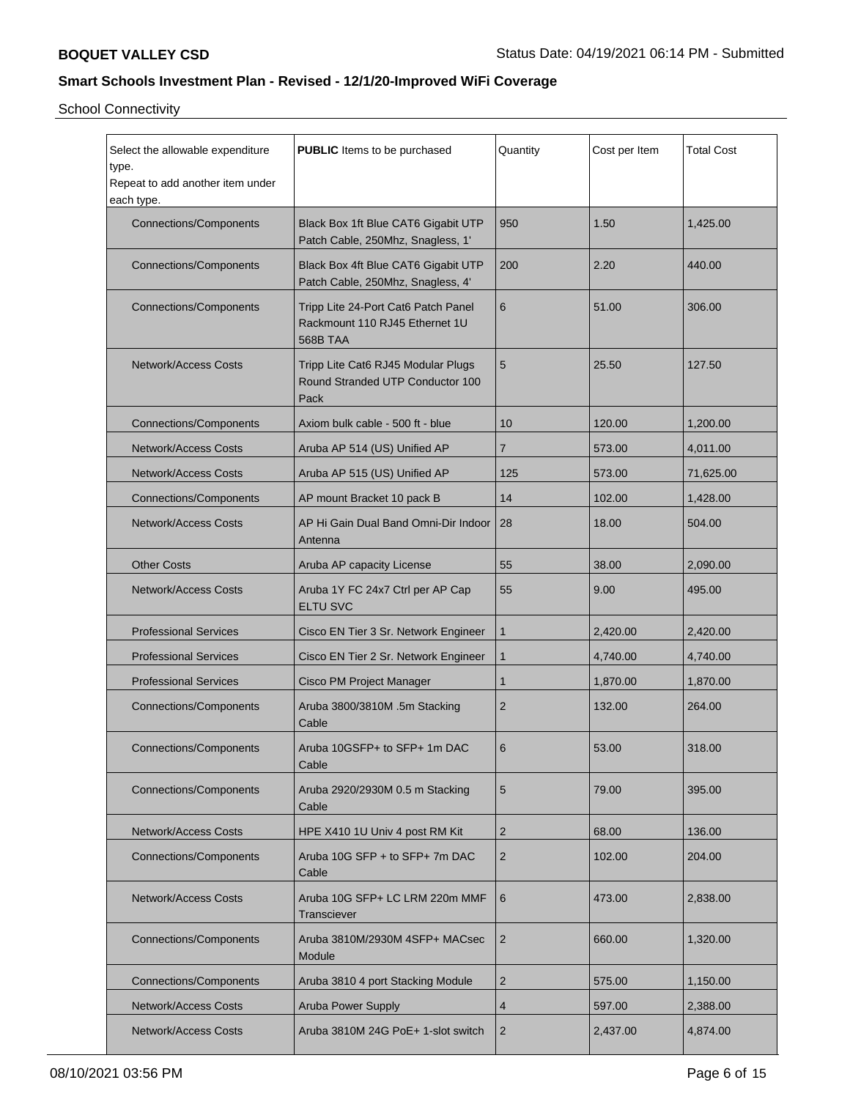School Connectivity

| Select the allowable expenditure<br>type.<br>Repeat to add another item under<br>each type. | <b>PUBLIC</b> Items to be purchased                                               | Quantity       | Cost per Item | <b>Total Cost</b> |
|---------------------------------------------------------------------------------------------|-----------------------------------------------------------------------------------|----------------|---------------|-------------------|
| <b>Connections/Components</b>                                                               | Black Box 1ft Blue CAT6 Gigabit UTP<br>Patch Cable, 250Mhz, Snagless, 1'          | 950            | 1.50          | 1,425.00          |
| <b>Connections/Components</b>                                                               | Black Box 4ft Blue CAT6 Gigabit UTP<br>Patch Cable, 250Mhz, Snagless, 4'          | 200            | 2.20          | 440.00            |
| <b>Connections/Components</b>                                                               | Tripp Lite 24-Port Cat6 Patch Panel<br>Rackmount 110 RJ45 Ethernet 1U<br>568B TAA | 6              | 51.00         | 306.00            |
| <b>Network/Access Costs</b>                                                                 | Tripp Lite Cat6 RJ45 Modular Plugs<br>Round Stranded UTP Conductor 100<br>Pack    | 5              | 25.50         | 127.50            |
| <b>Connections/Components</b>                                                               | Axiom bulk cable - 500 ft - blue                                                  | 10             | 120.00        | 1,200.00          |
| <b>Network/Access Costs</b>                                                                 | Aruba AP 514 (US) Unified AP                                                      | $\overline{7}$ | 573.00        | 4,011.00          |
| <b>Network/Access Costs</b>                                                                 | Aruba AP 515 (US) Unified AP                                                      | 125            | 573.00        | 71,625.00         |
| <b>Connections/Components</b>                                                               | AP mount Bracket 10 pack B                                                        | 14             | 102.00        | 1,428.00          |
| <b>Network/Access Costs</b>                                                                 | AP Hi Gain Dual Band Omni-Dir Indoor<br>Antenna                                   | 28             | 18.00         | 504.00            |
| <b>Other Costs</b>                                                                          | Aruba AP capacity License                                                         | 55             | 38.00         | 2,090.00          |
| <b>Network/Access Costs</b>                                                                 | Aruba 1Y FC 24x7 Ctrl per AP Cap<br><b>ELTU SVC</b>                               | 55             | 9.00          | 495.00            |
| <b>Professional Services</b>                                                                | Cisco EN Tier 3 Sr. Network Engineer                                              | $\mathbf{1}$   | 2,420.00      | 2,420.00          |
| <b>Professional Services</b>                                                                | Cisco EN Tier 2 Sr. Network Engineer                                              | $\mathbf{1}$   | 4,740.00      | 4,740.00          |
| <b>Professional Services</b>                                                                | Cisco PM Project Manager                                                          | $\mathbf{1}$   | 1,870.00      | 1,870.00          |
| <b>Connections/Components</b>                                                               | Aruba 3800/3810M .5m Stacking<br>Cable                                            | $\overline{2}$ | 132.00        | 264.00            |
| <b>Connections/Components</b>                                                               | Aruba 10GSFP+ to SFP+ 1m DAC<br>Cable                                             | 6              | 53.00         | 318.00            |
| <b>Connections/Components</b>                                                               | Aruba 2920/2930M 0.5 m Stacking<br>Cable                                          | 5              | 79.00         | 395.00            |
| Network/Access Costs                                                                        | HPE X410 1U Univ 4 post RM Kit                                                    | $\overline{2}$ | 68.00         | 136.00            |
| <b>Connections/Components</b>                                                               | Aruba 10G SFP + to SFP+ 7m DAC<br>Cable                                           | $\overline{2}$ | 102.00        | 204.00            |
| <b>Network/Access Costs</b>                                                                 | Aruba 10G SFP+ LC LRM 220m MMF<br>Transciever                                     | 6              | 473.00        | 2,838.00          |
| <b>Connections/Components</b>                                                               | Aruba 3810M/2930M 4SFP+ MACsec<br>Module                                          | $\overline{2}$ | 660.00        | 1,320.00          |
| <b>Connections/Components</b>                                                               | Aruba 3810 4 port Stacking Module                                                 | $\overline{2}$ | 575.00        | 1,150.00          |
| Network/Access Costs                                                                        | Aruba Power Supply                                                                | $\overline{4}$ | 597.00        | 2,388.00          |
| <b>Network/Access Costs</b>                                                                 | Aruba 3810M 24G PoE+ 1-slot switch                                                | 2              | 2,437.00      | 4,874.00          |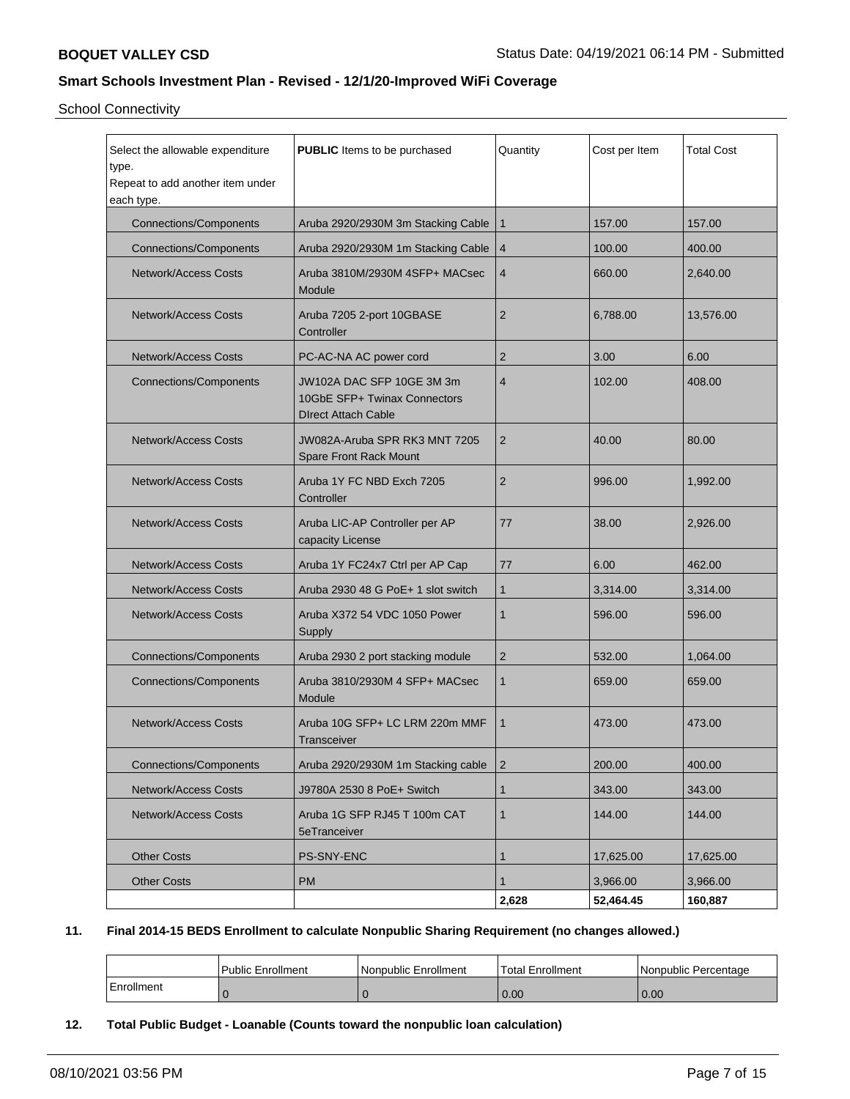School Connectivity

| Select the allowable expenditure<br><b>PUBLIC</b> Items to be purchased<br>type.<br>Repeat to add another item under<br>each type. |                                                                                         | Quantity       | Cost per Item | <b>Total Cost</b> |
|------------------------------------------------------------------------------------------------------------------------------------|-----------------------------------------------------------------------------------------|----------------|---------------|-------------------|
| <b>Connections/Components</b>                                                                                                      | Aruba 2920/2930M 3m Stacking Cable                                                      | 1              | 157.00        | 157.00            |
| <b>Connections/Components</b>                                                                                                      | Aruba 2920/2930M 1m Stacking Cable                                                      | 4              | 100.00        | 400.00            |
| <b>Network/Access Costs</b>                                                                                                        | Aruba 3810M/2930M 4SFP+ MACsec<br>Module                                                | $\overline{4}$ | 660.00        | 2,640.00          |
| <b>Network/Access Costs</b>                                                                                                        | Aruba 7205 2-port 10GBASE<br>Controller                                                 | $\overline{2}$ | 6,788.00      | 13,576.00         |
| <b>Network/Access Costs</b>                                                                                                        | PC-AC-NA AC power cord                                                                  | $\overline{2}$ | 3.00          | 6.00              |
| <b>Connections/Components</b>                                                                                                      | JW102A DAC SFP 10GE 3M 3m<br>10GbE SFP+ Twinax Connectors<br><b>DIrect Attach Cable</b> | $\overline{4}$ | 102.00        | 408.00            |
| <b>Network/Access Costs</b>                                                                                                        | JW082A-Aruba SPR RK3 MNT 7205<br><b>Spare Front Rack Mount</b>                          | $\overline{2}$ | 40.00         | 80.00             |
| <b>Network/Access Costs</b>                                                                                                        | Aruba 1Y FC NBD Exch 7205<br>Controller                                                 | $\overline{2}$ | 996.00        | 1,992.00          |
| <b>Network/Access Costs</b>                                                                                                        | Aruba LIC-AP Controller per AP<br>capacity License                                      | 77             | 38.00         | 2,926.00          |
| <b>Network/Access Costs</b>                                                                                                        | Aruba 1Y FC24x7 Ctrl per AP Cap                                                         | 77             | 6.00          | 462.00            |
| <b>Network/Access Costs</b>                                                                                                        | Aruba 2930 48 G PoE+ 1 slot switch                                                      | $\mathbf{1}$   | 3,314.00      | 3,314.00          |
| <b>Network/Access Costs</b>                                                                                                        | Aruba X372 54 VDC 1050 Power<br>Supply                                                  | $\mathbf{1}$   | 596.00        | 596.00            |
| <b>Connections/Components</b>                                                                                                      | Aruba 2930 2 port stacking module                                                       | $\overline{2}$ | 532.00        | 1,064.00          |
| <b>Connections/Components</b>                                                                                                      | Aruba 3810/2930M 4 SFP+ MACsec<br>Module                                                | $\mathbf{1}$   | 659.00        | 659.00            |
| <b>Network/Access Costs</b>                                                                                                        | Aruba 10G SFP+ LC LRM 220m MMF<br>Transceiver                                           | 1              | 473.00        | 473.00            |
| <b>Connections/Components</b>                                                                                                      | Aruba 2920/2930M 1m Stacking cable                                                      | $\overline{2}$ | 200.00        | 400.00            |
| <b>Network/Access Costs</b>                                                                                                        | J9780A 2530 8 PoE+ Switch                                                               | $\mathbf{1}$   | 343.00        | 343.00            |
| Network/Access Costs                                                                                                               | Aruba 1G SFP RJ45 T 100m CAT<br>5eTranceiver                                            | 1              | 144.00        | 144.00            |
| <b>Other Costs</b>                                                                                                                 | PS-SNY-ENC                                                                              | $\mathbf{1}$   | 17,625.00     | 17,625.00         |
| <b>Other Costs</b>                                                                                                                 | РM                                                                                      | 1              | 3,966.00      | 3,966.00          |
|                                                                                                                                    |                                                                                         | 2,628          | 52,464.45     | 160,887           |

### **11. Final 2014-15 BEDS Enrollment to calculate Nonpublic Sharing Requirement (no changes allowed.)**

|            | Public Enrollment | Nonpublic Enrollment | <sup>1</sup> Total Enrollment | I Nonpublic Percentage |
|------------|-------------------|----------------------|-------------------------------|------------------------|
| Enrollment |                   |                      | 0.00                          | 0.00                   |

### **12. Total Public Budget - Loanable (Counts toward the nonpublic loan calculation)**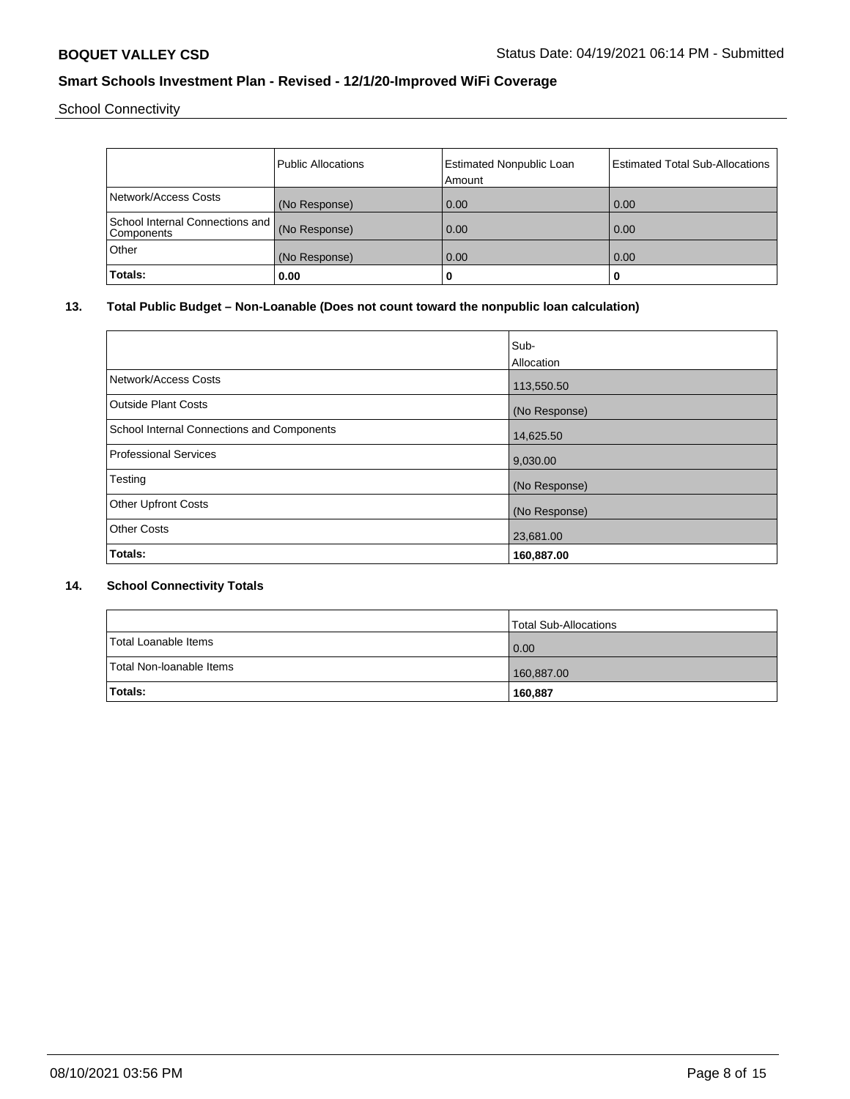School Connectivity

|                                               | <b>Public Allocations</b> | <b>Estimated Nonpublic Loan</b> | <b>Estimated Total Sub-Allocations</b> |
|-----------------------------------------------|---------------------------|---------------------------------|----------------------------------------|
|                                               |                           | Amount                          |                                        |
| Network/Access Costs                          | (No Response)             | 0.00                            | 0.00                                   |
| School Internal Connections and<br>Components | (No Response)             | 0.00                            | 0.00                                   |
| Other                                         | (No Response)             | 0.00                            | 0.00                                   |
| Totals:                                       | 0.00                      | 0                               | u                                      |

# **13. Total Public Budget – Non-Loanable (Does not count toward the nonpublic loan calculation)**

|                                            | Sub-<br>Allocation |
|--------------------------------------------|--------------------|
| Network/Access Costs                       | 113,550.50         |
| Outside Plant Costs                        | (No Response)      |
| School Internal Connections and Components | 14,625.50          |
| Professional Services                      | 9,030.00           |
| Testing                                    | (No Response)      |
| <b>Other Upfront Costs</b>                 | (No Response)      |
| <b>Other Costs</b>                         | 23,681.00          |
| Totals:                                    | 160,887.00         |

### **14. School Connectivity Totals**

|                          | Total Sub-Allocations |
|--------------------------|-----------------------|
| Total Loanable Items     | $\overline{0.00}$     |
| Total Non-Ioanable Items | 160,887.00            |
| <b>Totals:</b>           | 160,887               |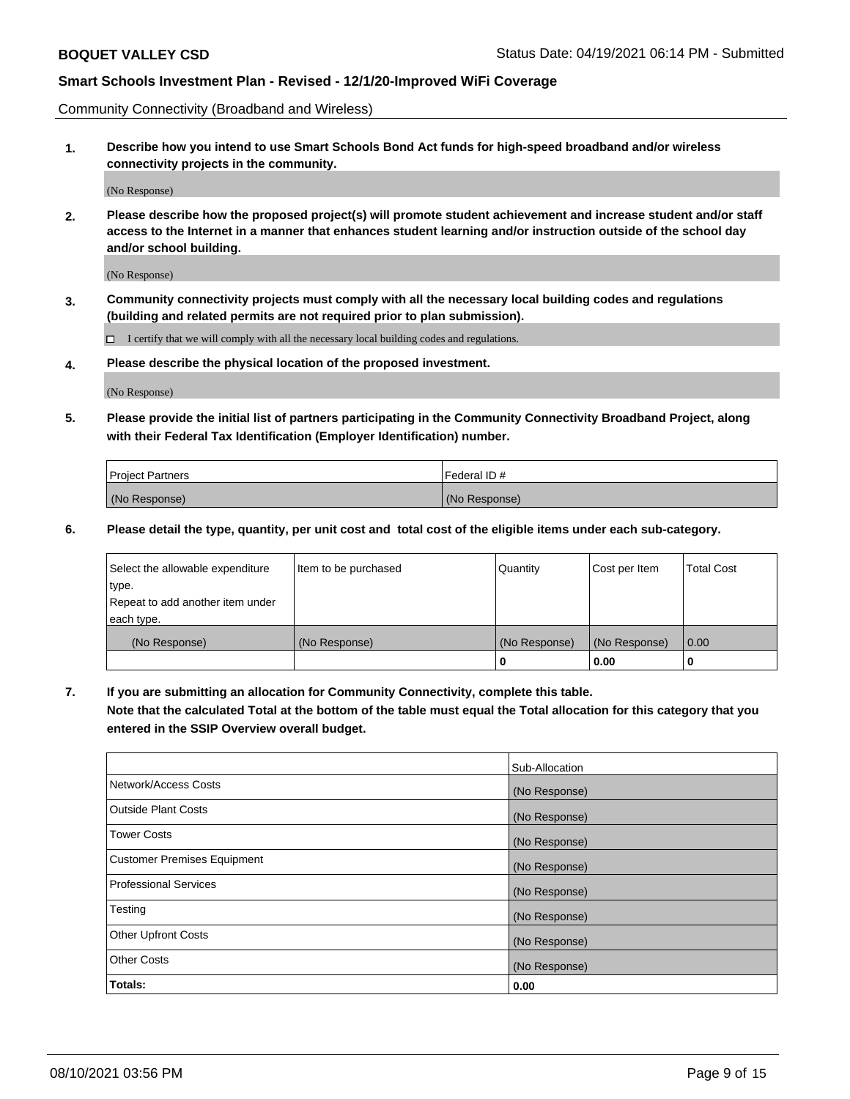Community Connectivity (Broadband and Wireless)

**1. Describe how you intend to use Smart Schools Bond Act funds for high-speed broadband and/or wireless connectivity projects in the community.**

(No Response)

**2. Please describe how the proposed project(s) will promote student achievement and increase student and/or staff access to the Internet in a manner that enhances student learning and/or instruction outside of the school day and/or school building.**

(No Response)

**3. Community connectivity projects must comply with all the necessary local building codes and regulations (building and related permits are not required prior to plan submission).**

 $\Box$  I certify that we will comply with all the necessary local building codes and regulations.

**4. Please describe the physical location of the proposed investment.**

(No Response)

**5. Please provide the initial list of partners participating in the Community Connectivity Broadband Project, along with their Federal Tax Identification (Employer Identification) number.**

| <b>Project Partners</b> | l Federal ID # |
|-------------------------|----------------|
| (No Response)           | (No Response)  |

**6. Please detail the type, quantity, per unit cost and total cost of the eligible items under each sub-category.**

| Select the allowable expenditure | Item to be purchased | Quantity      | Cost per Item | <b>Total Cost</b> |
|----------------------------------|----------------------|---------------|---------------|-------------------|
| type.                            |                      |               |               |                   |
| Repeat to add another item under |                      |               |               |                   |
| each type.                       |                      |               |               |                   |
| (No Response)                    | (No Response)        | (No Response) | (No Response) | 0.00              |
|                                  |                      | o             | 0.00          |                   |

**7. If you are submitting an allocation for Community Connectivity, complete this table.**

**Note that the calculated Total at the bottom of the table must equal the Total allocation for this category that you entered in the SSIP Overview overall budget.**

|                                    | Sub-Allocation |
|------------------------------------|----------------|
| Network/Access Costs               | (No Response)  |
| Outside Plant Costs                | (No Response)  |
| <b>Tower Costs</b>                 | (No Response)  |
| <b>Customer Premises Equipment</b> | (No Response)  |
| <b>Professional Services</b>       | (No Response)  |
| Testing                            | (No Response)  |
| <b>Other Upfront Costs</b>         | (No Response)  |
| <b>Other Costs</b>                 | (No Response)  |
| Totals:                            | 0.00           |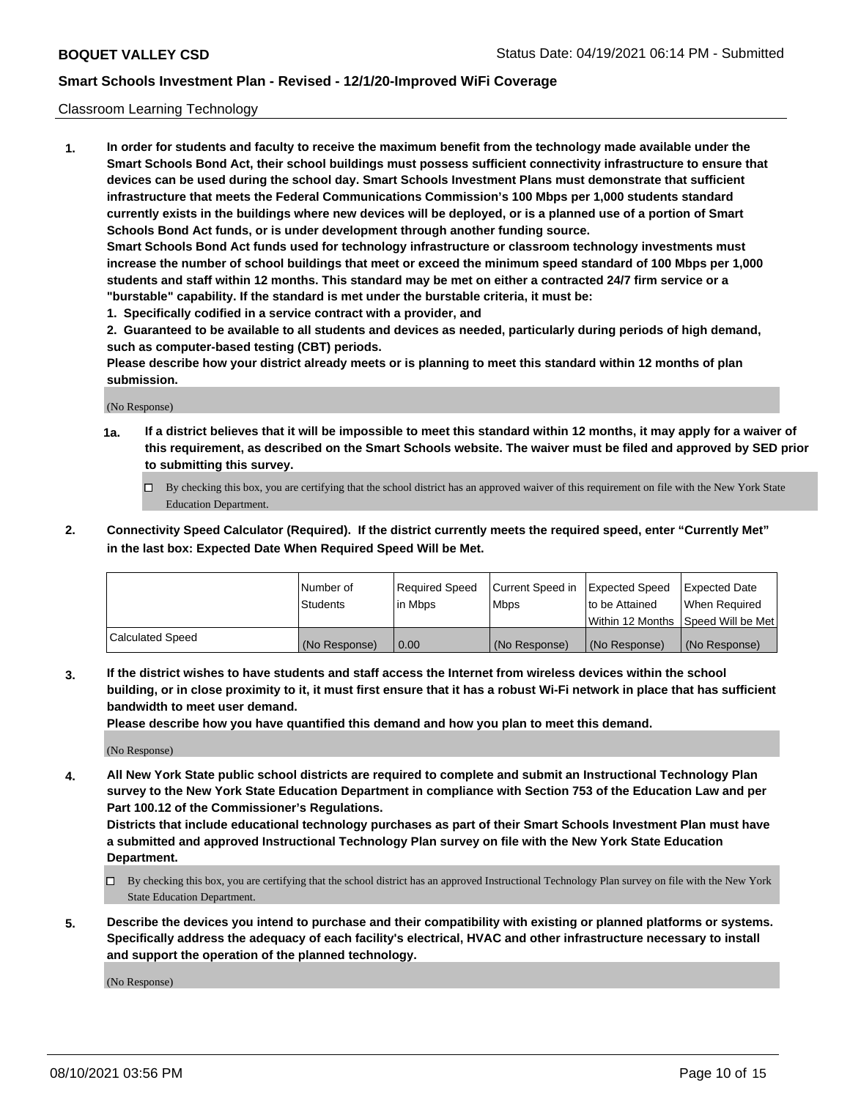#### Classroom Learning Technology

**1. In order for students and faculty to receive the maximum benefit from the technology made available under the Smart Schools Bond Act, their school buildings must possess sufficient connectivity infrastructure to ensure that devices can be used during the school day. Smart Schools Investment Plans must demonstrate that sufficient infrastructure that meets the Federal Communications Commission's 100 Mbps per 1,000 students standard currently exists in the buildings where new devices will be deployed, or is a planned use of a portion of Smart Schools Bond Act funds, or is under development through another funding source. Smart Schools Bond Act funds used for technology infrastructure or classroom technology investments must increase the number of school buildings that meet or exceed the minimum speed standard of 100 Mbps per 1,000 students and staff within 12 months. This standard may be met on either a contracted 24/7 firm service or a**

**"burstable" capability. If the standard is met under the burstable criteria, it must be:**

**1. Specifically codified in a service contract with a provider, and**

**2. Guaranteed to be available to all students and devices as needed, particularly during periods of high demand, such as computer-based testing (CBT) periods.**

**Please describe how your district already meets or is planning to meet this standard within 12 months of plan submission.**

(No Response)

- **1a. If a district believes that it will be impossible to meet this standard within 12 months, it may apply for a waiver of this requirement, as described on the Smart Schools website. The waiver must be filed and approved by SED prior to submitting this survey.**
	- By checking this box, you are certifying that the school district has an approved waiver of this requirement on file with the New York State Education Department.
- **2. Connectivity Speed Calculator (Required). If the district currently meets the required speed, enter "Currently Met" in the last box: Expected Date When Required Speed Will be Met.**

|                  | l Number of     | Required Speed | Current Speed in | <b>Expected Speed</b> | <b>Expected Date</b>                |
|------------------|-----------------|----------------|------------------|-----------------------|-------------------------------------|
|                  | <b>Students</b> | l in Mbps      | l Mbps           | to be Attained        | When Required                       |
|                  |                 |                |                  |                       | Within 12 Months  Speed Will be Met |
| Calculated Speed | (No Response)   | 0.00           | (No Response)    | l (No Response)       | (No Response)                       |

**3. If the district wishes to have students and staff access the Internet from wireless devices within the school building, or in close proximity to it, it must first ensure that it has a robust Wi-Fi network in place that has sufficient bandwidth to meet user demand.**

**Please describe how you have quantified this demand and how you plan to meet this demand.**

(No Response)

**4. All New York State public school districts are required to complete and submit an Instructional Technology Plan survey to the New York State Education Department in compliance with Section 753 of the Education Law and per Part 100.12 of the Commissioner's Regulations.**

**Districts that include educational technology purchases as part of their Smart Schools Investment Plan must have a submitted and approved Instructional Technology Plan survey on file with the New York State Education Department.**

- By checking this box, you are certifying that the school district has an approved Instructional Technology Plan survey on file with the New York State Education Department.
- **5. Describe the devices you intend to purchase and their compatibility with existing or planned platforms or systems. Specifically address the adequacy of each facility's electrical, HVAC and other infrastructure necessary to install and support the operation of the planned technology.**

(No Response)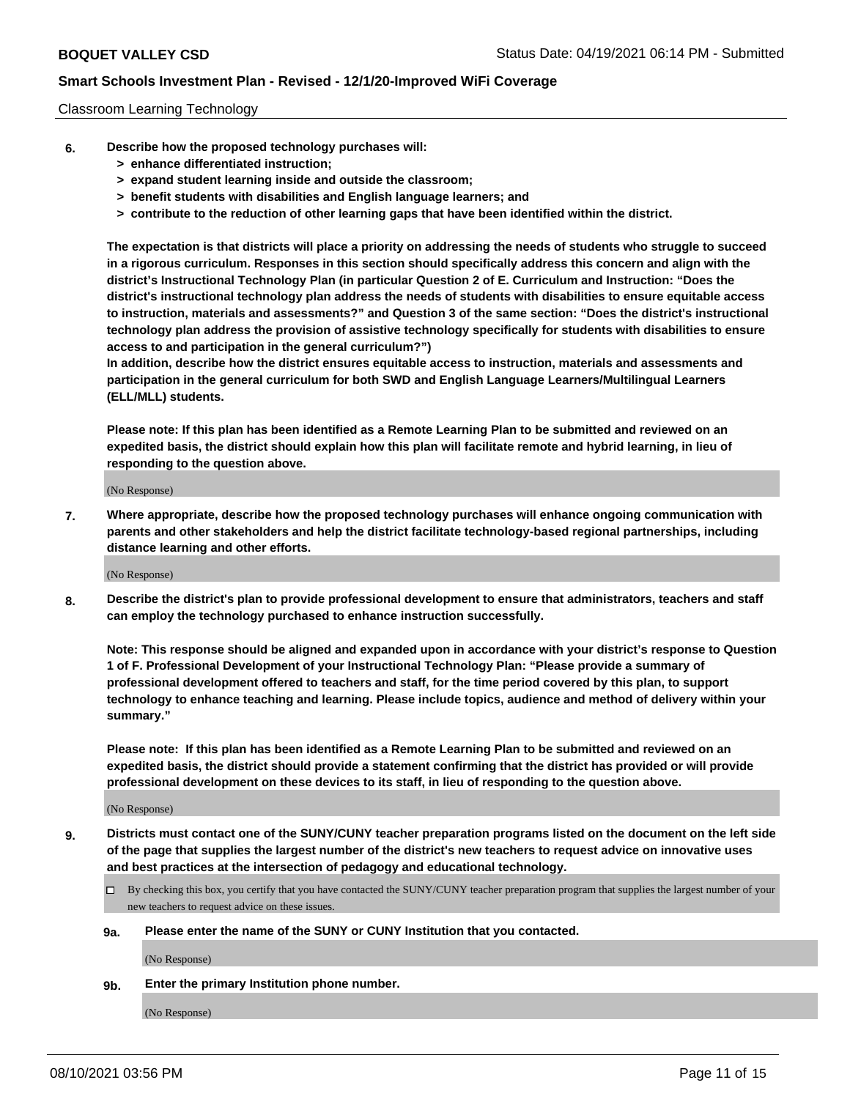#### Classroom Learning Technology

- **6. Describe how the proposed technology purchases will:**
	- **> enhance differentiated instruction;**
	- **> expand student learning inside and outside the classroom;**
	- **> benefit students with disabilities and English language learners; and**
	- **> contribute to the reduction of other learning gaps that have been identified within the district.**

**The expectation is that districts will place a priority on addressing the needs of students who struggle to succeed in a rigorous curriculum. Responses in this section should specifically address this concern and align with the district's Instructional Technology Plan (in particular Question 2 of E. Curriculum and Instruction: "Does the district's instructional technology plan address the needs of students with disabilities to ensure equitable access to instruction, materials and assessments?" and Question 3 of the same section: "Does the district's instructional technology plan address the provision of assistive technology specifically for students with disabilities to ensure access to and participation in the general curriculum?")**

**In addition, describe how the district ensures equitable access to instruction, materials and assessments and participation in the general curriculum for both SWD and English Language Learners/Multilingual Learners (ELL/MLL) students.**

**Please note: If this plan has been identified as a Remote Learning Plan to be submitted and reviewed on an expedited basis, the district should explain how this plan will facilitate remote and hybrid learning, in lieu of responding to the question above.**

(No Response)

**7. Where appropriate, describe how the proposed technology purchases will enhance ongoing communication with parents and other stakeholders and help the district facilitate technology-based regional partnerships, including distance learning and other efforts.**

(No Response)

**8. Describe the district's plan to provide professional development to ensure that administrators, teachers and staff can employ the technology purchased to enhance instruction successfully.**

**Note: This response should be aligned and expanded upon in accordance with your district's response to Question 1 of F. Professional Development of your Instructional Technology Plan: "Please provide a summary of professional development offered to teachers and staff, for the time period covered by this plan, to support technology to enhance teaching and learning. Please include topics, audience and method of delivery within your summary."**

**Please note: If this plan has been identified as a Remote Learning Plan to be submitted and reviewed on an expedited basis, the district should provide a statement confirming that the district has provided or will provide professional development on these devices to its staff, in lieu of responding to the question above.**

(No Response)

- **9. Districts must contact one of the SUNY/CUNY teacher preparation programs listed on the document on the left side of the page that supplies the largest number of the district's new teachers to request advice on innovative uses and best practices at the intersection of pedagogy and educational technology.**
	- $\Box$  By checking this box, you certify that you have contacted the SUNY/CUNY teacher preparation program that supplies the largest number of your new teachers to request advice on these issues.

#### **9a. Please enter the name of the SUNY or CUNY Institution that you contacted.**

(No Response)

**9b. Enter the primary Institution phone number.**

(No Response)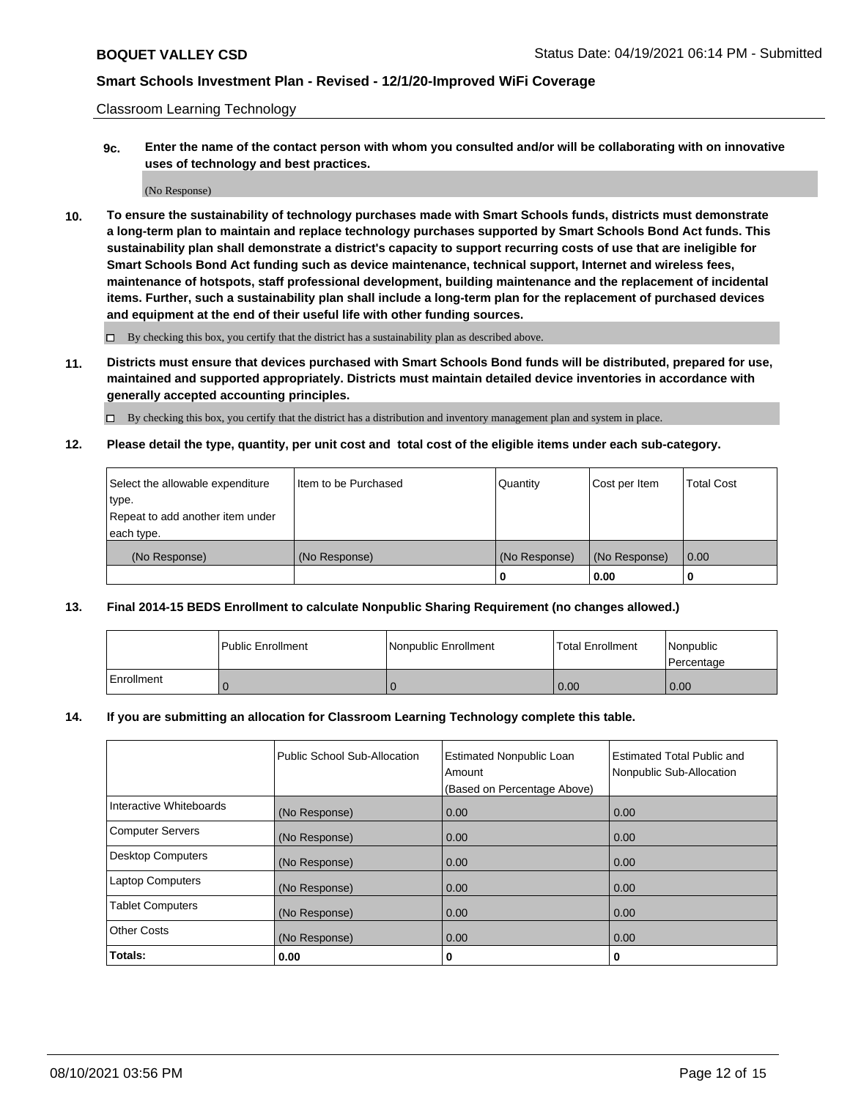Classroom Learning Technology

**9c. Enter the name of the contact person with whom you consulted and/or will be collaborating with on innovative uses of technology and best practices.**

(No Response)

**10. To ensure the sustainability of technology purchases made with Smart Schools funds, districts must demonstrate a long-term plan to maintain and replace technology purchases supported by Smart Schools Bond Act funds. This sustainability plan shall demonstrate a district's capacity to support recurring costs of use that are ineligible for Smart Schools Bond Act funding such as device maintenance, technical support, Internet and wireless fees, maintenance of hotspots, staff professional development, building maintenance and the replacement of incidental items. Further, such a sustainability plan shall include a long-term plan for the replacement of purchased devices and equipment at the end of their useful life with other funding sources.**

 $\square$  By checking this box, you certify that the district has a sustainability plan as described above.

**11. Districts must ensure that devices purchased with Smart Schools Bond funds will be distributed, prepared for use, maintained and supported appropriately. Districts must maintain detailed device inventories in accordance with generally accepted accounting principles.**

By checking this box, you certify that the district has a distribution and inventory management plan and system in place.

**12. Please detail the type, quantity, per unit cost and total cost of the eligible items under each sub-category.**

| Select the allowable expenditure | Iltem to be Purchased | Quantity      | Cost per Item | Total Cost |
|----------------------------------|-----------------------|---------------|---------------|------------|
| type.                            |                       |               |               |            |
| Repeat to add another item under |                       |               |               |            |
| each type.                       |                       |               |               |            |
| (No Response)                    | (No Response)         | (No Response) | (No Response) | 0.00       |
|                                  |                       |               | 0.00          |            |

#### **13. Final 2014-15 BEDS Enrollment to calculate Nonpublic Sharing Requirement (no changes allowed.)**

|                   | l Public Enrollment | Nonpublic Enrollment | <b>Total Enrollment</b> | <i>Nonpublic</i><br>Percentage |
|-------------------|---------------------|----------------------|-------------------------|--------------------------------|
| <b>Enrollment</b> |                     |                      | 0.00                    | 0.00                           |

#### **14. If you are submitting an allocation for Classroom Learning Technology complete this table.**

|                          | Public School Sub-Allocation | <b>Estimated Nonpublic Loan</b><br>Amount | Estimated Total Public and<br>Nonpublic Sub-Allocation |
|--------------------------|------------------------------|-------------------------------------------|--------------------------------------------------------|
|                          |                              | (Based on Percentage Above)               |                                                        |
| Interactive Whiteboards  | (No Response)                | 0.00                                      | 0.00                                                   |
| <b>Computer Servers</b>  | (No Response)                | 0.00                                      | 0.00                                                   |
| <b>Desktop Computers</b> | (No Response)                | 0.00                                      | 0.00                                                   |
| <b>Laptop Computers</b>  | (No Response)                | 0.00                                      | 0.00                                                   |
| <b>Tablet Computers</b>  | (No Response)                | 0.00                                      | 0.00                                                   |
| <b>Other Costs</b>       | (No Response)                | 0.00                                      | 0.00                                                   |
| Totals:                  | 0.00                         | 0                                         | 0                                                      |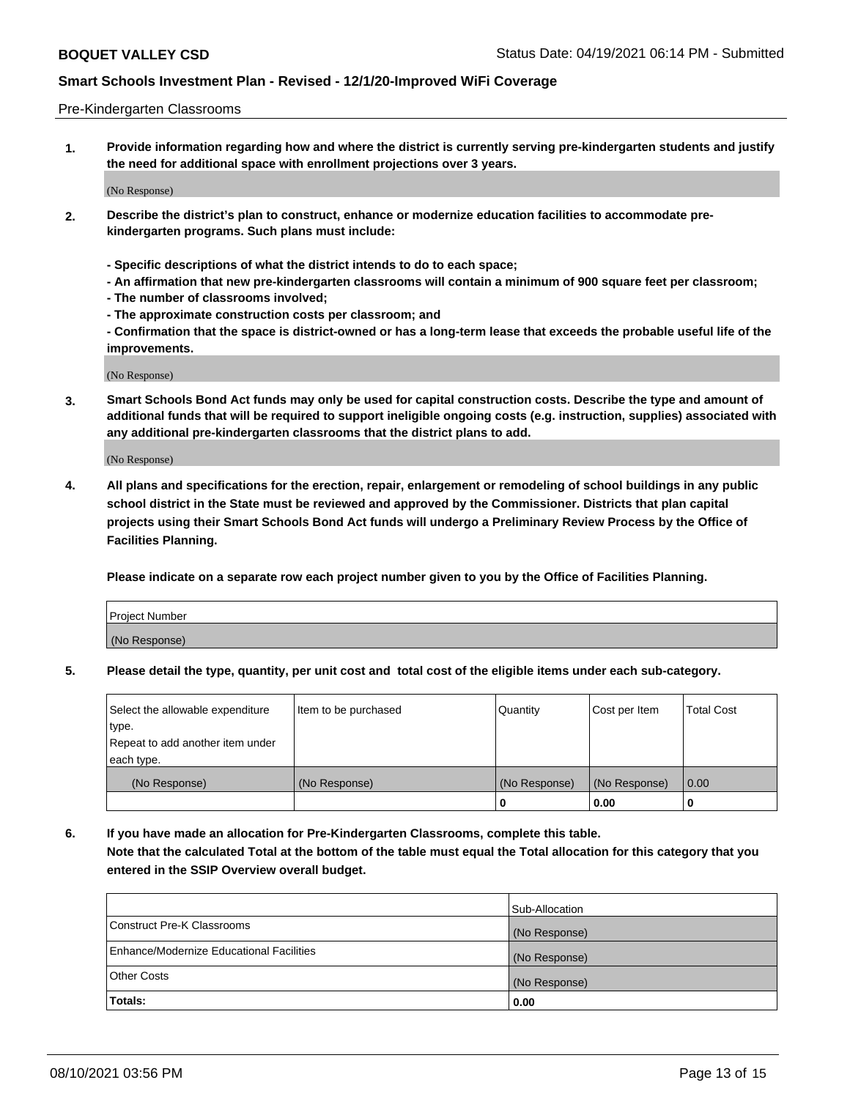#### Pre-Kindergarten Classrooms

**1. Provide information regarding how and where the district is currently serving pre-kindergarten students and justify the need for additional space with enrollment projections over 3 years.**

(No Response)

- **2. Describe the district's plan to construct, enhance or modernize education facilities to accommodate prekindergarten programs. Such plans must include:**
	- **Specific descriptions of what the district intends to do to each space;**
	- **An affirmation that new pre-kindergarten classrooms will contain a minimum of 900 square feet per classroom;**
	- **The number of classrooms involved;**
	- **The approximate construction costs per classroom; and**
	- **Confirmation that the space is district-owned or has a long-term lease that exceeds the probable useful life of the improvements.**

(No Response)

**3. Smart Schools Bond Act funds may only be used for capital construction costs. Describe the type and amount of additional funds that will be required to support ineligible ongoing costs (e.g. instruction, supplies) associated with any additional pre-kindergarten classrooms that the district plans to add.**

(No Response)

**4. All plans and specifications for the erection, repair, enlargement or remodeling of school buildings in any public school district in the State must be reviewed and approved by the Commissioner. Districts that plan capital projects using their Smart Schools Bond Act funds will undergo a Preliminary Review Process by the Office of Facilities Planning.**

**Please indicate on a separate row each project number given to you by the Office of Facilities Planning.**

| Project Number |  |
|----------------|--|
| (No Response)  |  |
|                |  |

**5. Please detail the type, quantity, per unit cost and total cost of the eligible items under each sub-category.**

| Select the allowable expenditure | Item to be purchased | Quantity      | Cost per Item | <b>Total Cost</b> |
|----------------------------------|----------------------|---------------|---------------|-------------------|
| type.                            |                      |               |               |                   |
| Repeat to add another item under |                      |               |               |                   |
| each type.                       |                      |               |               |                   |
| (No Response)                    | (No Response)        | (No Response) | (No Response) | 0.00              |
|                                  |                      | υ             | 0.00          |                   |

**6. If you have made an allocation for Pre-Kindergarten Classrooms, complete this table. Note that the calculated Total at the bottom of the table must equal the Total allocation for this category that you entered in the SSIP Overview overall budget.**

| Totals:                                  | 0.00           |
|------------------------------------------|----------------|
| <b>Other Costs</b>                       | (No Response)  |
| Enhance/Modernize Educational Facilities | (No Response)  |
| Construct Pre-K Classrooms               | (No Response)  |
|                                          | Sub-Allocation |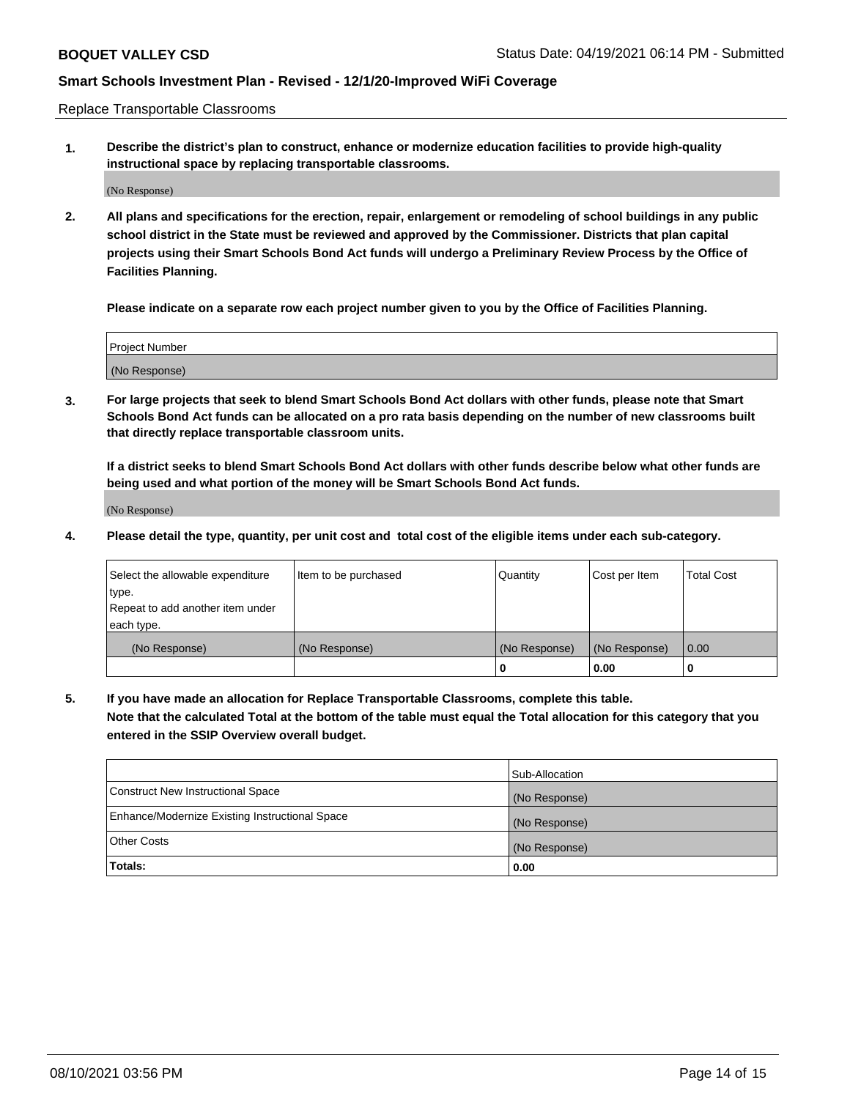Replace Transportable Classrooms

**1. Describe the district's plan to construct, enhance or modernize education facilities to provide high-quality instructional space by replacing transportable classrooms.**

(No Response)

**2. All plans and specifications for the erection, repair, enlargement or remodeling of school buildings in any public school district in the State must be reviewed and approved by the Commissioner. Districts that plan capital projects using their Smart Schools Bond Act funds will undergo a Preliminary Review Process by the Office of Facilities Planning.**

**Please indicate on a separate row each project number given to you by the Office of Facilities Planning.**

| Project Number |  |
|----------------|--|
|                |  |
| (No Response)  |  |

**3. For large projects that seek to blend Smart Schools Bond Act dollars with other funds, please note that Smart Schools Bond Act funds can be allocated on a pro rata basis depending on the number of new classrooms built that directly replace transportable classroom units.**

**If a district seeks to blend Smart Schools Bond Act dollars with other funds describe below what other funds are being used and what portion of the money will be Smart Schools Bond Act funds.**

(No Response)

**4. Please detail the type, quantity, per unit cost and total cost of the eligible items under each sub-category.**

| Select the allowable expenditure | Item to be purchased | Quantity      | Cost per Item | Total Cost |
|----------------------------------|----------------------|---------------|---------------|------------|
| ∣type.                           |                      |               |               |            |
| Repeat to add another item under |                      |               |               |            |
| each type.                       |                      |               |               |            |
| (No Response)                    | (No Response)        | (No Response) | (No Response) | 0.00       |
|                                  |                      | u             | 0.00          |            |

**5. If you have made an allocation for Replace Transportable Classrooms, complete this table. Note that the calculated Total at the bottom of the table must equal the Total allocation for this category that you entered in the SSIP Overview overall budget.**

|                                                | Sub-Allocation |
|------------------------------------------------|----------------|
| Construct New Instructional Space              | (No Response)  |
| Enhance/Modernize Existing Instructional Space | (No Response)  |
| Other Costs                                    | (No Response)  |
| Totals:                                        | 0.00           |